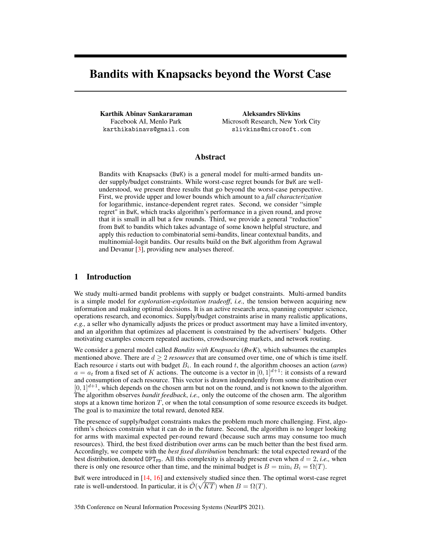# <span id="page-0-51"></span><span id="page-0-47"></span><span id="page-0-25"></span><span id="page-0-24"></span><span id="page-0-18"></span>Bandits with Knapsacks beyond the Worst Case

<span id="page-0-65"></span><span id="page-0-16"></span><span id="page-0-4"></span>Karthik Abinav Sankararaman Facebook AI, Menlo Park karthikabinavs@gmail.com

<span id="page-0-44"></span><span id="page-0-42"></span><span id="page-0-37"></span><span id="page-0-36"></span><span id="page-0-27"></span><span id="page-0-26"></span><span id="page-0-15"></span><span id="page-0-8"></span>Aleksandrs Slivkins Microsoft Research, New York City slivkins@microsoft.com

## <span id="page-0-67"></span><span id="page-0-66"></span><span id="page-0-34"></span><span id="page-0-32"></span><span id="page-0-31"></span><span id="page-0-28"></span><span id="page-0-14"></span><span id="page-0-10"></span><span id="page-0-6"></span><span id="page-0-5"></span><span id="page-0-3"></span>Abstract

<span id="page-0-58"></span><span id="page-0-57"></span><span id="page-0-55"></span><span id="page-0-52"></span><span id="page-0-50"></span><span id="page-0-46"></span><span id="page-0-43"></span><span id="page-0-39"></span><span id="page-0-38"></span><span id="page-0-29"></span>Bandits with Knapsacks (BwK) is a general model for multi-armed bandits under supply/budget constraints. While worst-case regret bounds for BwK are wellunderstood, we present three results that go beyond the worst-case perspective. First, we provide upper and lower bounds which amount to a *full characterization* for logarithmic, instance-dependent regret rates. Second, we consider "simple regret" in BwK, which tracks algorithm's performance in a given round, and prove that it is small in all but a few rounds. Third, we provide a general "reduction" from BwK to bandits which takes advantage of some known helpful structure, and apply this reduction to combinatorial semi-bandits, linear contextual bandits, and multinomial-logit bandits. Our results build on the BwK algorithm from Agrawal and Devanur  $[3]$ , providing new analyses thereof.

## <span id="page-0-53"></span><span id="page-0-49"></span><span id="page-0-48"></span><span id="page-0-45"></span><span id="page-0-20"></span><span id="page-0-17"></span><span id="page-0-13"></span>1 Introduction

<span id="page-0-60"></span><span id="page-0-56"></span>We study multi-armed bandit problems with supply or budget constraints. Multi-armed bandits is a simple model for *exploration-exploitation tradeoff*, *i.e.,* the tension between acquiring new information and making optimal decisions. It is an active research area, spanning computer science, operations research, and economics. Supply/budget constraints arise in many realistic applications, *e.g.,* a seller who dynamically adjusts the prices or product assortment may have a limited inventory, and an algorithm that optimizes ad placement is constrained by the advertisers' budgets. Other motivating examples concern repeated auctions, crowdsourcing markets, and network routing.

<span id="page-0-54"></span><span id="page-0-40"></span><span id="page-0-35"></span><span id="page-0-30"></span><span id="page-0-23"></span><span id="page-0-21"></span><span id="page-0-9"></span>We consider a general model called *Bandits with Knapsacks* (*BwK*), which subsumes the examples mentioned above. There are  $d > 2$  *resources* that are consumed over time, one of which is time itself. Each resource *i* starts out with budget  $B_i$ . In each round *t*, the algorithm chooses an action (*arm*)  $a = a_t$  from a fixed set of *K* actions. The outcome is a vector in [0, 1]<sup>d+1</sup>: it consists of a reward and consumption of each resource. This vector is drawn independently from some distribution over  $[0,1]^{d+1}$ , which depends on the chosen arm but not on the round, and is not known to the algorithm. The algorithm observes *bandit feedback*, *i.e.,* only the outcome of the chosen arm. The algorithm stops at a known time horizon *T*, or when the total consumption of some resource exceeds its budget. The goal is to maximize the total reward, denoted REW.

<span id="page-0-61"></span><span id="page-0-41"></span><span id="page-0-33"></span><span id="page-0-11"></span><span id="page-0-7"></span><span id="page-0-2"></span><span id="page-0-0"></span>The presence of supply/budget constraints makes the problem much more challenging. First, algorithm's choices constrain what it can do in the future. Second, the algorithm is no longer looking for arms with maximal expected per-round reward (because such arms may consume too much resources). Third, the best fixed distribution over arms can be much better than the best fixed arm. Accordingly, we compete with the *best fixed distribution* benchmark: the total expected reward of the best distribution, denoted  $OPT_{FD}$ . All this complexity is already present even when  $d = 2$ , *i.e.*, when there is only one resource other than time, and the minimal budget is  $B = \min_i B_i = \Omega(T)$ .

<span id="page-0-64"></span><span id="page-0-63"></span><span id="page-0-62"></span><span id="page-0-59"></span><span id="page-0-22"></span><span id="page-0-19"></span><span id="page-0-12"></span><span id="page-0-1"></span>BwK were introduced in [\[14,](#page-10-1) [16\]](#page-10-2) and extensively studied since then. The optimal worst-case regret Fig. 1. We there are the case of  $\ln \frac{f(x)}{f(x)}$  and choice of  $\sqrt{KT}$  when  $B = \Omega(T)$ .

35th Conference on Neural Information Processing Systems (NeurIPS 2021).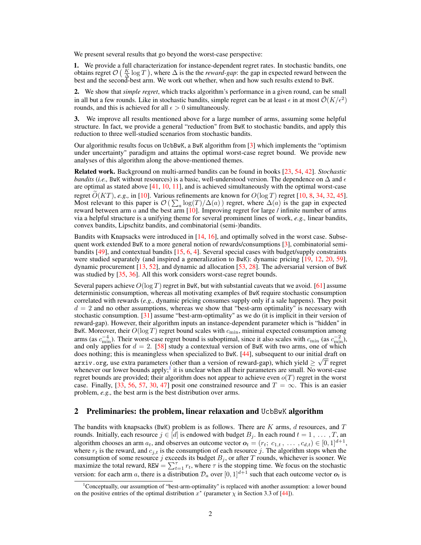We present several results that go beyond the worst-case perspective:

1. We provide a full characterization for instance-dependent regret rates. In stochastic bandits, one obtains regret  $\mathcal{O}\left(\frac{K}{2}\log T\right)$ , where  $\Delta$  is the the *reward-gap*: the gap in expected reward between the best and the second-best arm. We work out whether, when and how such results extend to BwK.

2. We show that *simple regret*, which tracks algorithm's performance in a given round, can be small in all but a few rounds. Like in stochastic bandits, simple regret can be at least  $\epsilon$  in at most  $\mathcal{O}(K/\epsilon^2)$ rounds, and this is achieved for all  $\epsilon > 0$  simultaneously.

3. We improve all results mentioned above for a large number of arms, assuming some helpful structure. In fact, we provide a general "reduction" from BwK to stochastic bandits, and apply this reduction to three well-studied scenarios from stochastic bandits.

Our algorithmic results focus on UcbBwK, a BwK algorithm from [\[3\]](#page-10-0) which implements the "optimism under uncertainty" paradigm and attains the optimal worst-case regret bound. We provide new analyses of this algorithm along the above-mentioned themes.

Related work. Background on multi-armed bandits can be found in books [\[23,](#page-11-0) [54,](#page-12-0) [42\]](#page-12-1). *Stochastic bandits* (*i.e.*, BwK without resources) is a basic, well-understood version. The dependence on  $\Delta$  and  $\epsilon$ are optimal as stated above [\[41,](#page-12-2) [10,](#page-10-3) [11\]](#page-10-4), and is achieved simultaneously with the optimal worst-case regret  $O(KT)$ , *e.g.*, in [\[10\]](#page-10-3). Various refinements are known for  $O(\log T)$  regret [\[10,](#page-10-3) [8,](#page-10-5) [34,](#page-11-1) [32,](#page-11-2) [45\]](#page-12-3). Most relevant to this paper is  $\mathcal{O}(\sum_a \log(T)/\Delta(a))$  regret, where  $\Delta(a)$  is the gap in expected reward between arm *a* and the best arm [\[10\]](#page-10-3). Improving regret for large / infinite number of arms via a helpful structure is a unifying theme for several prominent lines of work, *e.g.,* linear bandits, convex bandits, Lipschitz bandits, and combinatorial (semi-)bandits.

Bandits with Knapsacks were introduced in [\[14,](#page-10-1) [16\]](#page-10-2), and optimally solved in the worst case. Subsequent work extended BwK to a more general notion of rewards/consumptions [\[3\]](#page-10-0), combinatorial semibandits [\[49\]](#page-12-4), and contextual bandits [\[15,](#page-10-6) [6,](#page-10-7) [4\]](#page-10-8). Several special cases with budget/supply constraints were studied separately (and inspired a generalization to BwK): dynamic pricing [\[19,](#page-10-9) [12,](#page-10-10) [20,](#page-11-3) [59\]](#page-13-0), dynamic procurement [\[13,](#page-10-11) [52\]](#page-12-5), and dynamic ad allocation [\[53,](#page-12-6) [28\]](#page-11-4). The adversarial version of BwK was studied by [\[35,](#page-11-5) [36\]](#page-11-6). All this work considers worst-case regret bounds.

Several papers achieve  $O(\log T)$  regret in BwK, but with substantial caveats that we avoid. [\[61\]](#page-13-1) assume deterministic consumption, whereas all motivating examples of BwK require stochastic consumption correlated with rewards (*e.g.,* dynamic pricing consumes supply only if a sale happens). They posit  $d = 2$  and no other assumptions, whereas we show that "best-arm optimality" is necessary with stochastic consumption. [\[31\]](#page-11-7) assume "best-arm-optimality" as we do (it is implicit in their version of reward-gap). However, their algorithm inputs an instance-dependent parameter which is "hidden" in BwK. Moreover, their  $O(\log T)$  regret bound scales with  $c_{\min}$ , minimal expected consumption among arms (as  $c_{\text{min}}^{-4}$ ). Their worst-case regret bound is suboptimal, since it also scales with  $c_{\text{min}}$  (as  $c_{\text{min}}^{-2}$ ), and only applies for  $d = 2$ . [\[58\]](#page-13-2) study a contextual version of BwK with two arms, one of which does nothing; this is meaningless when specialized to BwK. [\[44\]](#page-12-7), subsequent to our initial draft on arxiv.org, use extra parameters (other than a version of reward-gap), which yield  $\geq \sqrt{T}$  regret whenever our lower bounds apply;<sup>[1](#page-1-0)</sup> it is unclear when all their parameters are small. No worst-case regret bounds are provided; their algorithm does not appear to achieve even *o*(*T*) regret in the worst case. Finally,  $[33, 56, 57, 30, 47]$  $[33, 56, 57, 30, 47]$  $[33, 56, 57, 30, 47]$  $[33, 56, 57, 30, 47]$  $[33, 56, 57, 30, 47]$  $[33, 56, 57, 30, 47]$  $[33, 56, 57, 30, 47]$  $[33, 56, 57, 30, 47]$  $[33, 56, 57, 30, 47]$  posit one constrained resource and  $T = \infty$ . This is an easier problem, *e.g.,* the best arm is the best distribution over arms.

#### 2 Preliminaries: the problem, linear relaxation and UcbBwK algorithm

The bandits with knapsacks (BwK) problem is as follows. There are *K* arms, *d* resources, and *T* rounds. Initially, each resource  $j \in [d]$  is endowed with budget  $B_j$ . In each round  $t = 1, \ldots, T$ , an algorithm chooses an arm  $a_t$ , and observes an outcome vector  $o_t = (r_t; c_{1,t}, \ldots, c_{d,t}) \in [0, 1]^{d+1}$ , where  $r_t$  is the reward, and  $c_{j,t}$  is the consumption of each resource  $j$ . The algorithm stops when the consumption of some resource *j* exceeds its budget *B<sup>j</sup>* , or after *T* rounds, whichever is sooner. We maximize the total reward, REW =  $\sum_{t=1}^{\tau} r_t$ , where  $\tau$  is the stopping time. We focus on the stochastic version: for each arm *a*, there is a distribution  $\mathcal{D}_a$  over  $[0, 1]^{d+1}$  such that each outcome vector  $\mathbf{o}_t$  is

<span id="page-1-0"></span><sup>1</sup> Conceptually, our assumption of "best-arm-optimality" is replaced with another assumption: a lower bound on the positive entries of the optimal distribution  $x^*$  (parameter  $\chi$  in Section 3.3 of [\[44\]](#page-12-7)).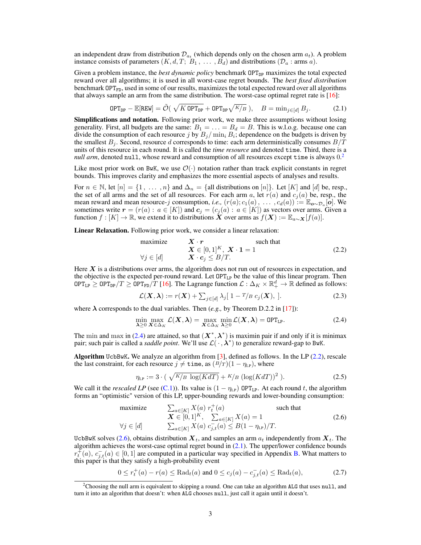an independent draw from distribution  $\mathcal{D}_{a_t}$  (which depends only on the chosen arm  $a_t$ ). A problem instance consists of parameters  $(K, d, T; B_1, \ldots, B_d)$  and distributions  $(\mathcal{D}_a : \text{arms } a)$ .

Given a problem instance, the *best dynamic policy* benchmark OPT<sub>DP</sub> maximizes the total expected reward over all algorithms; it is used in all worst-case regret bounds. The *best fixed distribution* benchmark  $OPT_{FD}$ , used in some of our results, maximizes the total expected reward over all algorithms that always sample an arm from the same distribution. The worst-case optimal regret rate is [\[16\]](#page-0-0):

$$
\text{OPT}_{\text{DP}} - \mathbb{E}[\text{REW}] = \tilde{\mathcal{O}}(\sqrt{K \text{ OPT}_{\text{DP}}} + \text{OPT}_{\text{DP}}\sqrt{K/B}), \quad B = \min_{j \in [d]} B_j. \tag{2.1}
$$

**Simplifications and notation.** Following prior work, we make three assumptions without losing generality. First, all budgets are the same:  $B_1 = \ldots = B_d = B$ . This is w.l.o.g. because one can divide the consumption of each resource  $j$  by  $B_j/\min_i B_i$ ; dependence on the budgets is driven by the smallest  $B_j$ . Second, resource *d* corresponds to time: each arm deterministically consumes  $B/T$ units of this resource in each round. It is called the *time resource* and denoted time. Third, there is a null arm, denoted null, whose reward and consumption of all resources except time is always  $0.<sup>2</sup>$  $0.<sup>2</sup>$  $0.<sup>2</sup>$ 

Like most prior work on BwK, we use  $\mathcal{O}(\cdot)$  notation rather than track explicit constants in regret bounds. This improves clarity and emphasizes the more essential aspects of analyses and results.

For  $n \in \mathbb{N}$ , let  $[n] = \{1, \ldots, n\}$  and  $\Delta_n = \{\text{all distributions on } [n]\}\$ . Let  $[K]$  and  $[d]$  be, resp., the set of all arms and the set of all resources. For each arm *a*, let  $r(a)$  and  $c_j(a)$  be, resp., the mean reward and mean resource-*j* consumption, *i.e.*,  $(r(a); c_1(a), \ldots, c_d(a)) := \mathbb{E}_{\boldsymbol{o} \sim \mathcal{D}_a}[\boldsymbol{o}]$ . We sometimes write  $r = (r(a) : a \in [K])$  and  $c_j = (c_j(a) : a \in [K])$  as vectors over arms. Given a function  $f : [K] \to \mathbb{R}$ , we extend it to distributions  $\mathbf{\hat{X}}$  over arms as  $f(\mathbf{X}) := \mathbb{E}_{a \sim \mathbf{X}}[f(a)].$ 

Linear Relaxation. Following prior work, we consider a linear relaxation:

maximize 
$$
\mathbf{X} \cdot \mathbf{r}
$$
 such that  
\n $\mathbf{X} \in [0, 1]^K, \mathbf{X} \cdot \mathbf{1} = 1$   
\n $\forall j \in [d]$   $\mathbf{X} \cdot \mathbf{c}_j \leq B/T.$  (2.2)

Here X is a distributions over arms, the algorithm does not run out of resources in expectation, and the objective is the expected per-round reward. Let OPT<sub>LP</sub> be the value of this linear program. Then  $\texttt{OPT}_{\texttt{LP}} \geq \texttt{OPT}_{\texttt{PP}}/T \geq \texttt{OPT}_{\texttt{FD}}/T$  [\[16\]](#page-0-0). The Lagrange function  $\mathcal{L} : \Delta_K \times \mathbb{R}^d_+ \to \mathbb{R}$  defined as follows:

$$
\mathcal{L}(\boldsymbol{X}, \boldsymbol{\lambda}) := r(\boldsymbol{X}) + \sum_{j \in [d]} \lambda_j [1 - T/B \ c_j(\boldsymbol{X}), ]. \qquad (2.3)
$$

where  $\lambda$  corresponds to the dual variables. Then (*e.g.*, by Theorem D.2.2 in [\[17\]](#page-0-2)):

$$
\min_{\lambda \geq 0} \max_{\mathbf{X} \in \Delta_K} \mathcal{L}(\mathbf{X}, \lambda) = \max_{\mathbf{X} \in \Delta_K} \min_{\lambda \geq 0} \mathcal{L}(\mathbf{X}, \lambda) = \text{OPT}_{\text{LP}}.
$$
\n(2.4)

The min and max in [\(2.4\)](#page-0-3) are attained, so that  $(X^*, \lambda^*)$  is maximin pair if and only if it is minimax pair; such pair is called a *saddle point*. We'll use  $\mathcal{L}(\cdot, \lambda^*)$  to generalize reward-gap to BwK.

Algorithm UcbBwK. We analyze an algorithm from  $[3]$ , defined as follows. In the LP [\(2.2\)](#page-0-5), rescale the last constraint, for each resource  $j \neq \text{time}$ , as  $(\frac{B}{T})(1 - \eta_{LP})$ , where

$$
\eta_{\rm LP} := 3 \cdot \left( \sqrt{\frac{K}{B} \log(KdT)} + \frac{K}{B} \left( \log(KdT) \right)^2 \right). \tag{2.5}
$$

We call it the *rescaled LP* (see [\(C.1\)](#page-0-6)). Its value is  $(1 - \eta_{LP})$  OPT<sub>LP</sub>. At each round *t*, the algorithm forms an "optimistic" version of this LP, upper-bounding rewards and lower-bounding consumption:

maximize 
$$
\sum_{a \in [K]} X(a) r_t^+(a)
$$
such that  
\n
$$
\mathbf{X} \in [0,1]^K, \sum_{a \in [K]} X(a) = 1
$$
 (2.6)  
\n
$$
\forall j \in [d] \qquad \sum_{a \in [K]} X(a) c_{j,t}^-(a) \leq B(1 - \eta_{\text{LP}})/T.
$$

UcbBwK solves [\(2.6\)](#page-0-7), obtains distribution  $X_t$ , and samples an arm  $a_t$  independently from  $X_t$ . The algorithm achieves the worst-case optimal regret bound in  $(2.1)$ . The upper/lower confidence bounds  $r_t^{\text{F}}(a), c_{j,t}^-(a) \in [0,1]$  are computed in a particular way specified in Appendix [B.](#page-0-9) What matters to this paper is that they satisfy a high-probability event

$$
0 \le r_t^+(a) - r(a) \le \text{Rad}_t(a) \text{ and } 0 \le c_j(a) - c_{j,t}^-(a) \le \text{Rad}_t(a), \tag{2.7}
$$

<sup>&</sup>lt;sup>2</sup>Choosing the null arm is equivalent to skipping a round. One can take an algorithm ALG that uses null, and turn it into an algorithm that doesn't: when ALG chooses null, just call it again until it doesn't.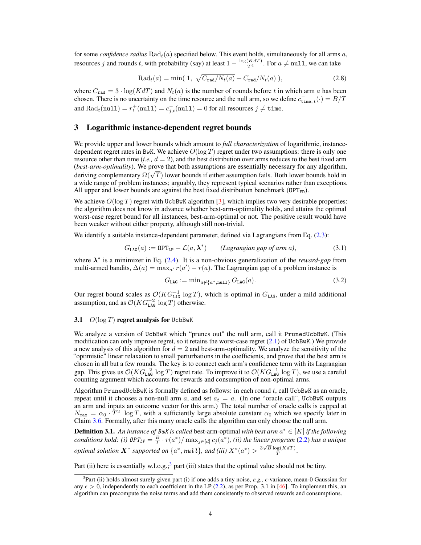for some *confidence radius* Rad*t*(*a*) specified below. This event holds, simultaneously for all arms *a*, resources *j* and rounds *t*, with probability (say) at least  $1 - \frac{\log(KdT)}{T^4}$ . For  $a \neq \text{null}$ , we can take

$$
Radt(a) = min(1, \sqrt{C_{rad}/N_t(a)} + C_{rad}/N_t(a)), \qquad (2.8)
$$

where  $C_{\text{rad}} = 3 \cdot \log(KdT)$  and  $N_t(a)$  is the number of rounds before *t* in which arm *a* has been chosen. There is no uncertainty on the time resource and the null arm, so we define  $c_{time, t}^-$  ( $\cdot$ ) =  $B/T$ and  $\text{Rad}_t(\text{null}) = r_t^+(\text{null}) = c_{j,t}^-(\text{null}) = 0$  for all resources  $j \neq \texttt{time}$ .

#### 3 Logarithmic instance-dependent regret bounds

We provide upper and lower bounds which amount to *full characterization* of logarithmic, instancedependent regret rates in BwK. We achieve *O*(log *T*) regret under two assumptions: there is only one resource other than time (*i.e.*,  $d = 2$ ), and the best distribution over arms reduces to the best fixed arm (*best-arm-optimality*). We prove that both assumptions are essentially necessary for any algorithm, deriving complementary  $\Omega(\sqrt{T})$  lower bounds if either assumption fails. Both lower bounds hold in a wide range of problem instances; arguably, they represent typical scenarios rather than exceptions. All upper and lower bounds are against the best fixed distribution benchmark ( $OPT_{FD}$ ).

We achieve  $O(\log T)$  regret with UcbBwK algorithm [\[3\]](#page-0-4), which implies two very desirable properties: the algorithm does not know in advance whether best-arm-optimality holds, and attains the optimal worst-case regret bound for all instances, best-arm-optimal or not. The positive result would have been weaker without either property, although still non-trivial.

We identify a suitable instance-dependent parameter, defined via Lagrangians from Eq. [\(2.3\)](#page-0-10):

$$
G_{\text{LAG}}(a) := \text{OPT}_{\text{LP}} - \mathcal{L}(a, \boldsymbol{\lambda}^*) \qquad (Lagrangian gap of arm \, a), \tag{3.1}
$$

where  $\lambda^*$  is a minimizer in Eq. [\(2.4\)](#page-0-3). It is a non-obvious generalization of the *reward-gap* from multi-armed bandits,  $\Delta(a) = \max_{a'} r(a') - r(a)$ . The Lagrangian gap of a problem instance is

$$
G_{\text{LAG}} := \min_{a \notin \{a^*, \text{null}\}} G_{\text{LAG}}(a). \tag{3.2}
$$

Our regret bound scales as  $\mathcal{O}(KG_{\text{LAG}}^{-1} \log T)$ , which is optimal in  $G_{\text{LAG}}$ , under a mild additional assumption, and as  $\mathcal{O}(KG_{\texttt{LAG}}^{-2} \log T)$  otherwise.

#### 3.1  $O(\log T)$  regret analysis for UcbBwK

We analyze a version of UcbBwK which "prunes out" the null arm, call it PrunedUcbBwK. (This modification can only improve regret, so it retains the worst-case regret  $(2.1)$  of UcbBwK.) We provide a new analysis of this algorithm for  $d = 2$  and best-arm-optimality. We analyze the sensitivity of the "optimistic" linear relaxation to small perturbations in the coefficients, and prove that the best arm is chosen in all but a few rounds. The key is to connect each arm's confidence term with its Lagrangian gap. This gives us  $\mathcal{O}(KG_{\texttt{LAG}}^{-2} \log T)$  regret rate. To improve it to  $\mathcal{O}(KG_{\texttt{LAG}}^{-1} \log T)$ , we use a careful counting argument which accounts for rewards and consumption of non-optimal arms.

Algorithm PrunedUcbBwK is formally defined as follows: in each round *t*, call UcbBwK as an oracle, repeat until it chooses a non-null arm  $a$ , and set  $a_t = a$ . (In one "oracle call", UcbBwK outputs an arm and inputs an outcome vector for this arm.) The total number of oracle calls is capped at  $N_{\text{max}} = \alpha_0 \cdot \overline{T}^2 \log T$ , with a sufficiently large absolute constant  $\alpha_0$  which we specify later in Claim [3.6.](#page-0-11) Formally, after this many oracle calls the algorithm can only choose the null arm.

**Definition 3.1.** An instance of *BwK* is called best-arm-optimal with best arm  $a^* \in [K]$  if the following *conditions hold: (i)*  $\mathcal{DPT}_{LP} = \frac{B}{T} \cdot r(a^*) / \max_{j \in [d]} c_j(a^*)$ , *(ii) the linear program* [\(2.2\)](#page-0-5) *has a unique optimal solution*  $\mathbf{X}^*$  *supported on*  $\{a^*, \textbf{null}\}$ *, and (iii)*  $X^*(a^*) > \frac{3\sqrt{B}\log(KdT)}{T}$ .

Part (ii) here is essentially w.l.o.g.;<sup>3</sup> part (iii) states that the optimal value should not be tiny.

<sup>3</sup>Part (ii) holds almost surely given part (i) if one adds a tiny noise, *e.g.*,  $\epsilon$ -variance, mean-0 Gaussian for any  $\epsilon > 0$ , independently to each coefficient in the LP [\(2.2\)](#page-0-5), as per Prop. 3.1 in [\[46\]](#page-0-13). To implement this, an algorithm can precompute the noise terms and add them consistently to observed rewards and consumptions.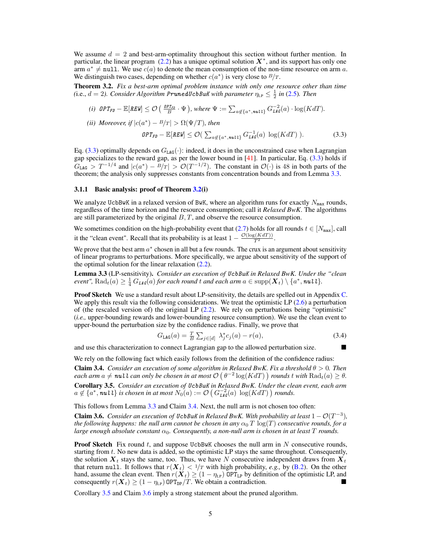We assume  $d = 2$  and best-arm-optimality throughout this section without further mention. In particular, the linear program  $(2.2)$  has a unique optimal solution  $X^*$ , and its support has only one arm  $a^* \neq \text{null}$ . We use  $c(a)$  to denote the mean consumption of the non-time resource on arm a. We distinguish two cases, depending on whether  $c(a^*)$  is very close to  $B/T$ .

Theorem 3.2. *Fix a best-arm optimal problem instance with only one resource other than time* (i.e.,  $d = 2$ ). Consider Algorithm PrunedUcbBwK with parameter  $\eta_{\text{LP}} \leq \frac{1}{2}$  in [\(2.5\)](#page-0-14). Then

(i) 
$$
\mathit{OPT}_{\mathit{FD}} - \mathbb{E}[\mathit{REW}] \leq \mathcal{O}\left(\frac{\mathit{OPT}_{\mathit{FD}}}{B} \cdot \Psi\right)
$$
, where  $\Psi := \sum_{a \notin \{a^*, \mathit{null}\}} G_{\mathit{LG}}^{-2}(a) \cdot \log(KdT)$ .

*(ii) Moreover, if*  $|c(a^*) - B/T| > \Omega(\Psi/T)$ *, then* 

$$
\mathit{OPT}_{\mathit{FD}} - \mathbb{E}[{\mathit{REW}}] \leq \mathcal{O}(\sum_{a \notin \{a^*, \mathit{null}\}} G_{\mathit{LAG}}^{-1}(a) \log(KdT)). \tag{3.3}
$$

Eq. [\(3.3\)](#page-0-15) optimally depends on  $G_{\text{LAG}}(\cdot)$ : indeed, it does in the unconstrained case when Lagrangian gap specializes to the reward gap, as per the lower bound in [\[41\]](#page-0-16). In particular, Eq. [\(3.3\)](#page-0-15) holds if  $G_{\text{LAG}} > T^{-1/4}$  and  $|c(a^*) - B/T| > \mathcal{O}(T^{-1/2})$ . The constant in  $\mathcal{O}(\cdot)$  is 48 in both parts of the theorem; the analysis only suppresses constants from concentration bounds and from Lemma [3.3.](#page-0-17)

#### 3.1.1 Basic analysis: proof of Theorem [3.2\(](#page-0-18)i)

We analyze UcbBwK in a relaxed version of BwK, where an algorithm runs for exactly  $N_{\text{max}}$  rounds, regardless of the time horizon and the resource consumption; call it *Relaxed BwK*. The algorithms are still parameterized by the original *B, T*, and observe the resource consumption.

We sometimes condition on the high-probability event that [\(2.7\)](#page-0-19) holds for all rounds  $t \in [N_{\text{max}}]$ , call it the "clean event". Recall that its probability is at least  $1 - \frac{\mathcal{O}(\log(KdT))}{T^2}$ .

We prove that the best arm  $a^*$  chosen in all but a few rounds. The crux is an argument about sensitivity of linear programs to perturbations. More specifically, we argue about sensitivity of the support of the optimal solution for the linear relaxation  $(2.2)$ .

Lemma 3.3 (LP-sensitivity). *Consider an execution of UcbBwK in Relaxed BwK. Under the "clean*  $e$ vent",  $\mathrm{Rad}_t(a) \geq \frac{1}{4} G_{\textit{LAG}}(a)$  for each round  $t$  and each arm  $a \in \mathrm{supp}(\bm{X}_t) \setminus \{a^*, \textit{null}\}.$ 

Proof Sketch We use a standard result about LP-sensitivity, the details are spelled out in Appendix [C.](#page-0-20) We apply this result via the following considerations. We treat the optimistic LP [\(2.6\)](#page-0-7) a perturbation of (the rescaled version of) the original LP [\(2.2\)](#page-0-5). We rely on perturbations being "optimistic" (*i.e.,* upper-bounding rewards and lower-bounding resource consumption). We use the clean event to upper-bound the perturbation size by the confidence radius. Finally, we prove that

$$
G_{\text{LAG}}(a) = \frac{T}{B} \sum_{j \in [d]} \lambda_j^* c_j(a) - r(a), \tag{3.4}
$$

and use this characterization to connect Lagrangian gap to the allowed perturbation size.  $\blacksquare$ 

We rely on the following fact which easily follows from the definition of the confidence radius:

**Claim 3.4.** *Consider an execution of some algorithm in Relaxed BwK. Fix a threshold*  $\theta > 0$ *. Then*  $e$  *each arm*  $a \neq \textit{null}$  *can only be chosen in at most*  $\mathcal{O}\left(\theta^{-2}\log(KdT)\right)$  *rounds*  $t$  *with*  $\text{Rad}_{t}(a) \geq \theta$ . Corollary 3.5. *Consider an execution of UcbBwK in Relaxed BwK. Under the clean event, each arm*  $a \notin \{a^*, \textbf{null}\}$  *is chosen in at most*  $N_0(a) := \mathcal{O}\left(G_{\textbf{LAG}}^{-2}(a) \log(KdT)\right)$  rounds.

This follows from Lemma [3.3](#page-0-17) and Claim [3.4.](#page-0-21) Next, the null arm is not chosen too often:

**Claim 3.6.** *Consider an execution of UcbBwK in Relaxed BwK. With probability at least*  $1 - \mathcal{O}(T^{-3})$ *, the following happens: the null arm cannot be chosen in any*  $\alpha_0 T \log(T)$  *consecutive rounds, for a large enough absolute constant*  $\alpha_0$ *. Consequently, a non-null arm is chosen in at least*  $T$  *rounds.* 

Proof Sketch Fix round *t*, and suppose UcbBwK chooses the null arm in *N* consecutive rounds, starting from *t*. No new data is added, so the optimistic LP stays the same throughout. Consequently, the solution  $X_t$  stays the same, too. Thus, we have N consecutive independent draws from  $X_t$ that return null. It follows that  $r(X_t) < 1/T$  with high probability, *e.g.*, by [\(B.2\)](#page-0-22). On the other hand, assume the clean event. Then  $r(X_t) \geq (1 - \eta_{LP})$  OPT<sub>LP</sub> by definition of the optimistic LP, and consequently  $r(\boldsymbol{X}_t) \geq (1 - \eta_{\text{LP}}) \text{ OPT}_{\text{DP}}/T$ . We obtain a contradiction.

Corollary [3.5](#page-0-23) and Claim [3.6](#page-0-11) imply a strong statement about the pruned algorithm.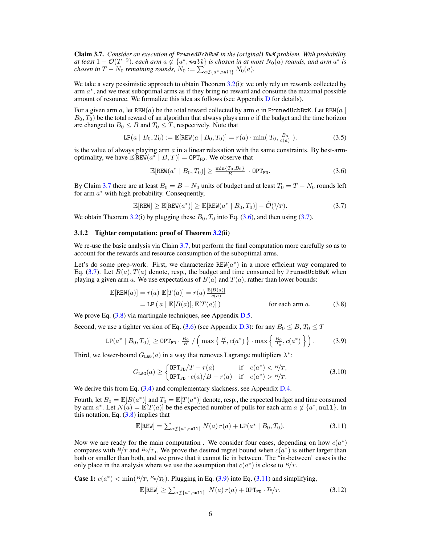Claim 3.7. *Consider an execution of PrunedUcbBwK in the (original) BwK problem. With probability at least*  $1 - \mathcal{O}(T^{-2})$ *, each arm*  $a \notin \{a^*, \textit{null}\}$  *is chosen in at most*  $N_0(a)$  *rounds, and arm*  $a^*$  *is chosen in*  $T - N_0$  *remaining rounds,*  $N_0 := \sum_{a \notin \{a^*, \text{null}\}} N_0(a)$ .

We take a very pessimistic approach to obtain Theorem [3.2\(](#page-0-18)i): we only rely on rewards collected by arm  $a^*$ , and we treat suboptimal arms as if they bring no reward and consume the maximal possible amount of resource. We formalize this idea as follows (see Appendix  $D$  for details).

For a given arm  $a$ , let REW( $a$ ) be the total reward collected by arm  $a$  in PrunedUcbBwK. Let REW( $a$ )  $B_0$ ,  $T_0$ ) be the total reward of an algorithm that always plays arm *a* if the budget and the time horizon are changed to  $B_0 \leq B$  and  $T_0 \leq T$ , respectively. Note that

$$
LP(a \mid B_0, T_0) := \mathbb{E}[\text{REW}(a \mid B_0, T_0)] = r(a) \cdot \min(T_0, \frac{B_0}{c(a)}). \tag{3.5}
$$

is the value of always playing arm *a* in a linear relaxation with the same constraints. By best-armoptimality, we have  $\mathbb{E}[\text{REW}(a^* | B, T)] = \text{OPT}_{FD}$ . We observe that

$$
\mathbb{E}[\text{REW}(a^* \mid B_0, T_0)] \ge \frac{\min\{T_0, B_0\}}{B} \cdot \text{OPT}_{\text{FD}}.\tag{3.6}
$$

By Claim [3.7](#page-0-25) there are at least  $B_0 = B - N_0$  units of budget and at least  $T_0 = T - N_0$  rounds left for arm  $a^*$  with high probability. Consequently,

$$
\mathbb{E}[\text{REW}] \ge \mathbb{E}[\text{REW}(a^*)] \ge \mathbb{E}[\text{REW}(a^* \mid B_0, T_0)] - \tilde{\mathcal{O}}(1/T). \tag{3.7}
$$

We obtain Theorem [3.2\(](#page-0-18)i) by plugging these  $B_0$ ,  $T_0$  into Eq. [\(3.6\)](#page-0-26), and then using [\(3.7\)](#page-0-27).

## 3.1.2 Tighter computation: proof of Theorem [3.2\(](#page-0-18)ii)

We re-use the basic analysis via Claim [3.7,](#page-0-25) but perform the final computation more carefully so as to account for the rewards and resource consumption of the suboptimal arms.

Let's do some prep-work. First, we characterize  $REW(a^*)$  in a more efficient way compared to Eq.  $(3.7)$ . Let  $B(a)$ ,  $T(a)$  denote, resp., the budget and time consumed by PrunedUcbBwK when playing a given arm *a*. We use expectations of  $B(a)$  and  $T(a)$ , rather than lower bounds:

$$
\mathbb{E}[\text{REW}(a)] = r(a) \mathbb{E}[T(a)] = r(a) \frac{\mathbb{E}[B(a)]}{c(a)}
$$
  
= LP  $(a | \mathbb{E}[B(a)], \mathbb{E}[T(a)] )$  for each arm a. (3.8)

We prove Eq. [\(3.8\)](#page-0-28) via martingale techniques, see Appendix [D.5.](#page-0-29)

Second, we use a tighter version of Eq. [\(3.6\)](#page-0-26) (see Appendix [D.3\)](#page-0-30): for any  $B_0 \leq B$ ,  $T_0 \leq T$ 

$$
\text{LP}(a^* \mid B_0, T_0)] \ge \text{OPT}_{\text{FD}} \cdot \frac{B_0}{B} / \left( \max\left\{ \frac{B}{T}, c(a^*) \right\} \cdot \max\left\{ \frac{B_0}{T_0}, c(a^*) \right\} \right). \tag{3.9}
$$

Third, we lower-bound  $G_{\text{LAG}}(a)$  in a way that removes Lagrange multipliers  $\lambda^*$ :

$$
G_{\text{LAG}}(a) \ge \begin{cases} \text{OPT}_{\text{FD}}/T - r(a) & \text{if } c(a^*) < B/T, \\ \text{OPT}_{\text{FD}} \cdot c(a)/B - r(a) & \text{if } c(a^*) > B/T. \end{cases} \tag{3.10}
$$

We derive this from Eq.  $(3.4)$  and complementary slackness, see Appendix [D.4.](#page-0-24)

Fourth, let  $B_0 = \mathbb{E}[B(a^*)]$  and  $T_0 = \mathbb{E}[T(a^*)]$  denote, resp., the expected budget and time consumed by arm  $a^*$ . Let  $N(a) = \mathbb{E}[T(a)]$  be the expected number of pulls for each arm  $a \notin \{a^*$ , null }. In this notation, Eq.  $(3.8)$  implies that

$$
\mathbb{E}[\text{REW}] = \sum_{a \notin \{a^*, \text{null}\}} N(a) r(a) + \text{LP}(a^* \mid B_0, T_0). \tag{3.11}
$$

Now we are ready for the main computation. We consider four cases, depending on how  $c(a^*)$ compares with  $B/T$  and  $B_0/T_0$ . We prove the desired regret bound when  $c(a^*)$  is either larger than both or smaller than both, and we prove that it cannot lie in between. The "in-between" cases is the only place in the analysis where we use the assumption that  $c(a^*)$  is close to  $B/T$ .

Case 1: 
$$
c(a^*) < \min(B/T, B_0/T_0)
$$
. Plugging in Eq. (3.9) into Eq. (3.11) and simplifying,  
\n
$$
\mathbb{E}[\text{REW}] \ge \sum_{a \notin \{a^*, \text{null}\}} N(a) r(a) + \text{OPT}_{FD} \cdot T_0/T.
$$
\n(3.12)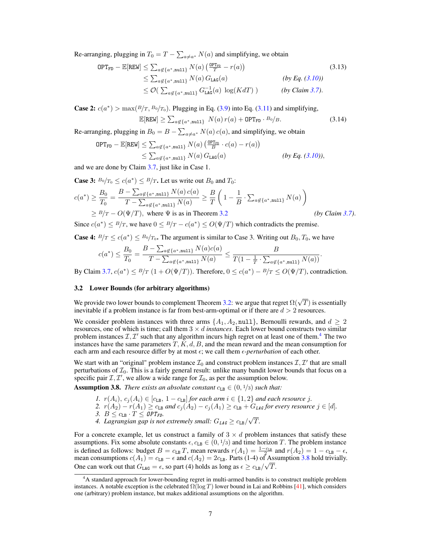Re-arranging, plugging in  $T_0 = T - \sum_{a \neq a^*} N(a)$  and simplifying, we obtain

$$
OPT_{FD} - \mathbb{E}[REW] \leq \sum_{a \notin \{a^*, \text{null}\}} N(a) \left(\frac{OPT_{FD}}{T} - r(a)\right)
$$
\n
$$
\leq \sum_{a \notin \{a^*, \text{null}\}} N(a) G_{LAG}(a) \qquad (by Eq. (3.10))
$$
\n
$$
\leq O(\sum_{a \notin \{a^*, \text{null}\}} G_{LAG}^{-1}(a) \log(KdT)) \qquad (by Claim 3.7).
$$
\n(3.13)

**Case 2:**  $c(a^*)$  > max $(B/T, B_0/T_0)$ . Plugging in Eq. [\(3.9\)](#page-0-32) into Eq. [\(3.11\)](#page-0-33) and simplifying,

$$
\mathbb{E}[\text{REW}] \ge \sum_{a \notin \{a^*, \text{null}\}} N(a) r(a) + \text{OPT}_{\text{FD}} \cdot B_0/B. \tag{3.14}
$$

Re-arranging, plugging in  $B_0 = B - \sum_{a \neq a^*} N(a) c(a)$ , and simplifying, we obtain

$$
OPT_{FD} - \mathbb{E}[REW] \leq \sum_{a \notin \{a^*, \text{null}\}} N(a) \left( \frac{\text{OPT}_{FD}}{B} \cdot c(a) - r(a) \right)
$$
  
 
$$
\leq \sum_{a \notin \{a^*, \text{null}\}} N(a) G_{LAG}(a) \qquad (by Eq. (3.10)),
$$

and we are done by Claim [3.7,](#page-0-25) just like in Case 1.

**Case 3:**  $B_0/T_0 \le c(a^*) \le B/T$ . Let us write out  $B_0$  and  $T_0$ :

$$
c(a^*) \ge \frac{B_0}{T_0} = \frac{B - \sum_{a \notin \{a^*, \text{null}\}} N(a) c(a)}{T - \sum_{a \notin \{a^*, \text{null}\}} N(a)} \ge \frac{B}{T} \left(1 - \frac{1}{B} \cdot \sum_{a \notin \{a^*, \text{null}\}} N(a)\right)
$$
  
\n
$$
\ge \frac{B}{T} - O(\Psi/T), \text{ where } \Psi \text{ is as in Theorem 3.2} \qquad (by Claim 3.7).
$$

Since  $c(a^*) \leq B/T$ , we have  $0 \leq B/T - c(a^*) \leq O(\Psi/T)$  which contradicts the premise.

**Case 4:**  $B/T \le c(a^*) \le B_0/T_0$ . The argument is similar to Case 3. Writing out  $B_0, T_0$ , we have

$$
c(a^*) \leq \frac{B_0}{T_0} = \frac{B - \sum_{a \notin \{a^*, \text{null}\}} N(a) c(a)}{T - \sum_{a \notin \{a^*, \text{null}\}} N(a)} \leq \frac{B}{T(1 - \frac{1}{T} \cdot \sum_{a \notin \{a^*, \text{null}\}} N(a))}.
$$

By Claim [3.7,](#page-0-25)  $c(a^*) \leq B/T$   $(1 + O(\Psi/T))$ . Therefore,  $0 \leq c(a^*) - B/T \leq O(\Psi/T)$ , contradiction.

#### 3.2 Lower Bounds (for arbitrary algorithms)

We provide two lower bounds to complement Theorem [3.2:](#page-0-18) we argue that regret  $\Omega(\sqrt{T})$  is essentially inevitable if a problem instance is far from best-arm-optimal or if there are *d >* 2 resources.

We consider problem instances with three arms  $\{A_1, A_2, \text{null}\}$ , Bernoulli rewards, and  $d \geq 2$ resources, one of which is time; call them  $3 \times d$  *instances*. Each lower bound constructs two similar problem instances  $I, I'$  such that any algorithm incurs high regret on at least one of them.<sup>4</sup> The two instances have the same parameters  $T, K, d, B$ , and the mean reward and the mean consumption for each arm and each resource differ by at most  $\epsilon$ ; we call them  $\epsilon$ -perturbation of each other.

We start with an "original" problem instance  $\mathcal{I}_0$  and construct problem instances  $\mathcal{I}, \mathcal{I}'$  that are small perturbations of *I*0. This is a fairly general result: unlike many bandit lower bounds that focus on a specific pair  $I, I'$ , we allow a wide range for  $I_0$ , as per the assumption below.

**Assumption 3.8.** *There exists an absolute constant*  $c_{LB} \in (0, 1/3)$  *such that:* 

- *1.*  $r(A_i)$ ,  $c_j(A_i) \in [c_{LB}, 1 c_{LB}]$  *for each arm*  $i \in \{1, 2\}$  *and each resource j*.
- $2.$   $r(A_2) r(A_1) \ge c_{\text{LB}}$  and  $c_j(A_2) c_j(A_1) \ge c_{\text{LB}} + G_{\text{LAG}}$  for every resource  $j \in [d]$ .
- *3.*  $B \leq c_{\text{LB}} \cdot T \leq \text{OPT}_{\text{FD}}$ .
- 4. Lagrangian gap is not extremely small:  $G_{LAG} \geq c_{LB}/\sqrt{T}$ .

For a concrete example, let us construct a family of  $3 \times d$  problem instances that satisfy these assumptions. Fix some absolute constants  $\epsilon$ ,  $c_{\text{LB}} \in (0, 1/3)$  and time horizon *T*. The problem instance is defined as follows: budget  $B = c_{\text{LB}}T$ , mean rewards  $r(A_1) = \frac{1 - c_{\text{LB}}}{2}$  and  $r(A_2) = 1 - c_{\text{LB}} - \epsilon$ , mean consumptions  $c(A_1) = c_{LB} - \epsilon$  and  $c(A_2) = 2c_{LB}$ . Parts (1-4) of Assumption [3.8](#page-0-35) hold trivially. One can work out that  $G_{LAG} = \epsilon$ , so part (4) holds as long as  $\epsilon \geq c_{LB}/\sqrt{T}$ .

<sup>4</sup> A standard approach for lower-bounding regret in multi-armed bandits is to construct multiple problem instances. A notable exception is the celebrated  $\Omega(\log T)$  lower bound in Lai and Robbins [\[41\]](#page-0-16), which considers one (arbitrary) problem instance, but makes additional assumptions on the algorithm.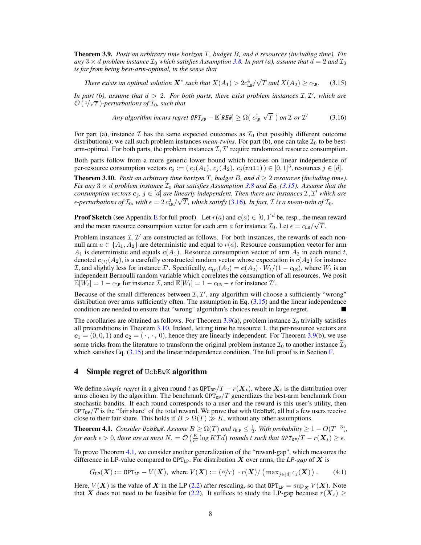Theorem 3.9. *Posit an arbitrary time horizon T, budget B, and d resources (including time). Fix any*  $3 \times d$  *problem instance*  $\mathcal{I}_0$  *which satisfies Assumption* [3.8.](#page-0-35) In part (a), assume that  $d = 2$  and  $\mathcal{I}_0$ *is far from being best-arm-optimal, in the sense that*

*There exists an optimal solution*  $X^*$  *such that*  $X(A_1) > 2c_{\text{LB}}^4/\sqrt{T}$  *and*  $X(A_2) \ge c_{\text{LB}}$ . (3.15)

*In part (b), assume that*  $d > 2$ *. For both parts, there exist problem instances*  $\mathcal{I}, \mathcal{I}'$ *, which are*  $\mathcal{O}(\sqrt[1]{\sqrt{T}})$ -perturbations of  $\mathcal{I}_0$ , such that

Any algorithm incurs regret 
$$
\mathsf{OPT}_{\mathsf{FD}} - \mathbb{E}[\mathsf{REW}] \geq \Omega(\mathsf{c}_{\mathtt{LB}}^4 \sqrt{T}) \text{ on } \mathcal{I} \text{ or } \mathcal{I}'
$$
 (3.16)

For part (a), instance  $\mathcal I$  has the same expected outcomes as  $\mathcal I_0$  (but possibly different outcome distributions); we call such problem instances *mean-twins*. For part (b), one can take  $\mathcal{I}_0$  to be bestarm-optimal. For both parts, the problem instances  $I, I'$  require randomized resource consumption.

Both parts follow from a more generic lower bound which focuses on linear independence of per-resource consumption vectors  $c_j := (c_j(A_1), c_j(A_2), c_j(\text{null})) \in [0, 1]^3$ , resources  $j \in [d]$ .

**Theorem 3.10.** *Posit an arbitrary time horizon T, budget B, and*  $d \geq 2$  *resources (including time). Fix any*  $3 \times d$  *problem instance*  $\mathcal{I}_0$  *that satisfies Assumption* [3.8](#page-0-35) *and Eq.* [\(3.15\)](#page-0-36)*. Assume that the consumption vectors*  $c_j$ ,  $j \in [d]$  are linearly independent. Then there are instances  $\mathcal{I}, \mathcal{I}'$  which are  $\epsilon$ -perturbations of  $\mathcal{I}_0$ , with  $\epsilon = 2 c_{LB}^2/\sqrt{T}$ , which satisfy [\(3.16\)](#page-0-37). In fact, *I* is a mean-twin of  $\mathcal{I}_0$ .

**Proof Sketch** (see Appendix [E](#page-0-38) for full proof). Let  $r(a)$  and  $c(a) \in [0, 1]^d$  be, resp., the mean reward and the mean resource consumption vector for each arm *a* for instance  $\mathcal{I}_0$ . Let  $\epsilon = c_{LB}/\sqrt{T}$ .

Problem instances  $\mathcal{I}, \mathcal{I}'$  are constructed as follows. For both instances, the rewards of each nonnull arm  $a \in \{A_1, A_2\}$  are deterministic and equal to  $r(a)$ . Resource consumption vector for arm  $A_1$  is deterministic and equals  $c(A_1)$ . Resource consumption vector of arm  $A_2$  in each round *t*, denoted  $c_{(t)}(A_2)$ , is a carefully constructed random vector whose expectation is  $c(A_2)$  for instance *I*, and slightly less for instance *I*'. Specifically,  $c_{(t)}(A_2) = c(A_2) \cdot W_t/(1 - c_{\text{LB}})$ , where  $W_t$  is an independent Bernoulli random variable which correlates the consumption of all resources. We posit  $\mathbb{E}[W_t] = 1 - c_{\text{LB}}$  for instance *I*, and  $\mathbb{E}[W_t] = 1 - c_{\text{LB}} - \epsilon$  for instance *I*'.

Because of the small differences between  $\mathcal{I}, \mathcal{I}'$ , any algorithm will choose a sufficiently "wrong" distribution over arms sufficiently often. The assumption in Eq. [\(3.15\)](#page-0-36) and the linear independence condition are needed to ensure that "wrong" algorithm's choices result in large regret.

The corollaries are obtained as follows. For Theorem [3.9\(](#page-0-25)a), problem instance  $\mathcal{I}_0$  trivially satisfies all preconditions in Theorem [3.10.](#page-0-39) Indeed, letting time be resource 1, the per-resource vectors are  $c_1 = (0, 0, 1)$  and  $c_2 = (\cdot, \cdot, 0)$ , hence they are linearly independent. For Theorem [3.9\(](#page-0-25)b), we use some tricks from the literature to transform the original problem instance  $\mathcal{I}_0$  to another instance  $\mathcal{I}_0$ which satisfies Eq.  $(3.15)$  and the linear independence condition. The full proof is in Section [F.](#page-0-40)

#### 4 Simple regret of UcbBwK algorithm

We define *simple regret* in a given round *t* as  $\text{OPT}_{DP}/T - r(X_t)$ , where  $X_t$  is the distribution over arms chosen by the algorithm. The benchmark  $\text{OPT}_{\text{DP}}/T$  generalizes the best-arm benchmark from stochastic bandits. If each round corresponds to a user and the reward is this user's utility, then  $\text{OPT}_{\text{DP}}/T$  is the "fair share" of the total reward. We prove that with UcbBwK, all but a few users receive close to their fair share. This holds if  $B > \Omega(T) \gg K$ , without any other assumptions.

**Theorem 4.1.** *Consider UcbBwK. Assume*  $B \ge \Omega(T)$  *and*  $\eta_{LP} \le \frac{1}{2}$ *. With probability*  $\ge 1 - O(T^{-3})$ *, for each*  $\epsilon > 0$ , there are at most  $N_{\epsilon} = \mathcal{O}\left(\frac{K}{\epsilon^2}\log KTd\right)$  rounds  $\tilde{t}$  such that  $\theta PT_{DP}/T - r(\boldsymbol{X}_t) \geq \epsilon$ .

To prove Theorem [4.1,](#page-0-41) we consider another generalization of the "reward-gap", which measures the difference in LP-value compared to  $OPT_{LP}$ . For distribution *X* over arms, the *LP-gap* of *X* is

$$
G_{\text{LP}}(\boldsymbol{X}) := \text{OPT}_{\text{LP}} - V(\boldsymbol{X}), \text{ where } V(\boldsymbol{X}) := \frac{B}{T} \cdot r(\boldsymbol{X}) / \left( \max_{j \in [d]} c_j(\boldsymbol{X}) \right). \tag{4.1}
$$

Here,  $V(X)$  is the value of X in the LP [\(2.2\)](#page-0-5) after rescaling, so that  $\text{OPT}_{\text{LP}} = \sup_{X} V(X)$ . Note that *X* does not need to be feasible for [\(2.2\)](#page-0-5). It suffices to study the LP-gap because  $r(X_t) \geq$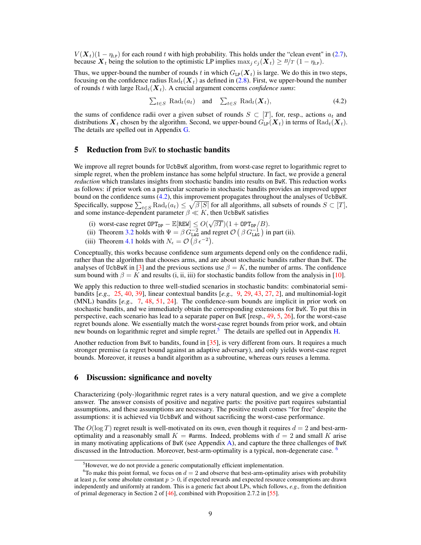$V(X_t)(1 - \eta_{LP})$  for each round *t* with high probability. This holds under the "clean event" in [\(2.7\)](#page-0-19), because  $\mathbf{X}_t$  being the solution to the optimistic LP implies max<sub>*j*</sub>  $c_j(\mathbf{X}_t) \geq B/T (1 - \eta_{\text{LP}}).$ 

Thus, we upper-bound the number of rounds *t* in which  $G_{LP}(X_t)$  is large. We do this in two steps, focusing on the confidence radius  $\text{Rad}_t(\boldsymbol{X}_t)$  as defined in [\(2.8\)](#page-0-42). First, we upper-bound the number of rounds *t* with large Rad*t*(*Xt*). A crucial argument concerns *confidence sums*:

$$
\sum_{t \in S} \text{Rad}_{t}(a_{t}) \quad \text{and} \quad \sum_{t \in S} \text{Rad}_{t}(\boldsymbol{X}_{t}), \tag{4.2}
$$

the sums of confidence radii over a given subset of rounds  $S \subset [T]$ , for, resp., actions  $a_t$  and distributions  $\mathbf{X}_t$  chosen by the algorithm. Second, we upper-bound  $G_{LP}(\mathbf{X}_t)$  in terms of  $\text{Rad}_t(\mathbf{X}_t)$ . The details are spelled out in Appendix [G.](#page-0-43)

### 5 Reduction from BwK to stochastic bandits

We improve all regret bounds for UcbBwK algorithm, from worst-case regret to logarithmic regret to simple regret, when the problem instance has some helpful structure. In fact, we provide a general *reduction* which translates insights from stochastic bandits into results on BwK. This reduction works as follows: if prior work on a particular scenario in stochastic bandits provides an improved upper bound on the confidence sums [\(4.2\)](#page-0-44), this improvement propagates throughout the analyses of UcbBwK. Specifically, suppose  $\sum_{t \in S} \text{Rad}_t(a_t) \leq \sqrt{\beta |S|}$  for all algorithms, all subsets of rounds  $S \subset [T]$ , and some instance-dependent parameter  $\beta \ll K$ , then UcbBwK satisfies

- (i) worst-case regret  $OPT_{DP} \mathbb{E}[REW] \leq O(\sqrt{\beta T})(1 + OPT_{DP}/B)$ .
- (ii) Theorem [3.2](#page-0-18) holds with  $\Psi = \beta G_{\text{LAG}}^{-2}$  and regret  $\mathcal{O}(\beta G_{\text{LAG}}^{-1})$  in part (ii).
- (iii) Theorem [4.1](#page-0-41) holds with  $N_{\epsilon} = \mathcal{O}(\beta \epsilon^{-2})$ .

Conceptually, this works because confidence sum arguments depend only on the confidence radii, rather than the algorithm that chooses arms, and are about stochastic bandits rather than BwK. The analyses of UcbBwK in [\[3\]](#page-0-4) and the previous sections use  $\beta = K$ , the number of arms. The confidence sum bound with  $\beta = K$  and results (i, ii, iii) for stochastic bandits follow from the analysis in [\[10\]](#page-0-45).

We apply this reduction to three well-studied scenarios in stochastic bandits: combinatorial semibandits [*e.g.,* [25,](#page-0-46) [40,](#page-0-47) [39\]](#page-0-25), linear contextual bandits [*e.g.,* [9,](#page-0-48) [29,](#page-0-49) [43,](#page-0-29) [27,](#page-0-50) [2\]](#page-0-51), and multinomial-logit (MNL) bandits [*e.g.,* [7,](#page-0-52) [48,](#page-0-53) [51,](#page-0-54) [24\]](#page-0-55). The confidence-sum bounds are implicit in prior work on stochastic bandits, and we immediately obtain the corresponding extensions for BwK. To put this in perspective, each scenario has lead to a separate paper on BwK [resp., [49,](#page-0-56) [5,](#page-0-57) [26\]](#page-0-58), for the worst-case regret bounds alone. We essentially match the worst-case regret bounds from prior work, and obtain new bounds on logarithmic regret and simple regret.<sup>5</sup> The details are spelled out in Appendix [H.](#page-0-60)

Another reduction from BwK to bandits, found in [\[35\]](#page-0-61), is very different from ours. It requires a much stronger premise (a regret bound against an adaptive adversary), and only yields worst-case regret bounds. Moreover, it reuses a bandit algorithm as a subroutine, whereas ours reuses a lemma.

## 6 Discussion: significance and novelty

Characterizing (poly-)logarithmic regret rates is a very natural question, and we give a complete answer. The answer consists of positive and negative parts: the positive part requires substantial assumptions, and these assumptions are necessary. The positive result comes "for free" despite the assumptions: it is achieved via UcbBwK and without sacrificing the worst-case performance.

The  $O(\log T)$  regret result is well-motivated on its own, even though it requires  $d = 2$  and best-armoptimality and a reasonably small  $K = \text{Harms}$ . Indeed, problems with  $d = 2$  and small K arise in many motivating applications of BwK (see Appendix  $\overline{A}$ ), and capture the three challenges of BwK discussed in the Introduction. Moreover, best-arm-optimality is a typical, non-degenerate case. <sup>[6](#page-0-62)</sup>

<sup>&</sup>lt;sup>5</sup>However, we do not provide a generic computationally efficient implementation.

 ${}^{6}$ To make this point formal, we focus on  $d = 2$  and observe that best-arm-optimality arises with probability at least  $p$ , for some absolute constant  $p > 0$ , if expected rewards and expected resource consumptions are drawn independently and uniformly at random. This is a generic fact about LPs, which follows, *e.g.,* from the definition of primal degeneracy in Section 2 of [\[46\]](#page-0-13), combined with Proposition 2.7.2 in [\[55\]](#page-0-63).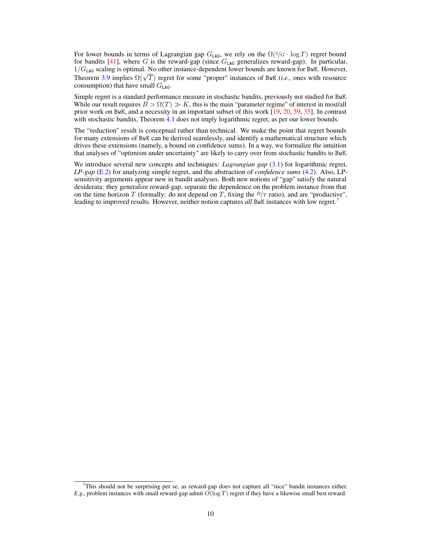For lower bounds in terms of Lagrangian gap  $G_{\text{LAG}}$ , we rely on the  $\Omega(1/G \cdot \log T)$  regret bound for bandits  $[41]$ , where *G* is the reward-gap (since  $G<sub>LAG</sub>$  generalizes reward-gap). In particular, 1*/G*LAG scaling is optimal. No other instance-dependent lower bounds are known for BwK. However, Theorem [3.9](#page-0-25) implies  $\Omega(\sqrt{T})$  regret for some "proper" instances of BwK (*i.e.*, ones with resource consumption) that have small  $G_{\text{LAG}}$ .

Simple regret is a standard performance measure in stochastic bandits, previously not studied for BwK. While our result requires  $B > \Omega(T) \gg K$ , this is the main "parameter regime" of interest in most/all prior work on BwK, and a necessity in an important subset of this work [\[19,](#page-0-64) [20,](#page-0-25) [59,](#page-0-65) [35\]](#page-0-61). In contrast with stochastic bandits, Theorem [4.1](#page-0-41) does not imply logarithmic regret, as per our lower bounds.

The "reduction" result is conceptual rather than technical. We make the point that regret bounds for many extensions of BwK can be derived seamlessly, and identify a mathematical structure which drives these extensions (namely, a bound on confidence sums). In a way, we formalize the intuition that analyses of "optimism under uncertainty" are likely to carry over from stochastic bandits to BwK.

We introduce several new concepts and techniques: *Lagrangian gap* [\(3.1\)](#page-0-66) for logarithmic regret, *LP-gap* [\(E.2\)](#page-0-67) for analyzing simple regret, and the abstraction of *confidence sums* [\(4.2\)](#page-0-44). Also, LPsensitivity arguments appear new in bandit analyses. Both new notions of "gap" satisfy the natural desiderata: they generalize reward-gap, separate the dependence on the problem instance from that on the time horizon *T* (formally: do not depend on *T*, fixing the  $B/T$  ratio), and are "productive", leading to improved results. However, neither notion captures *all* BwK instances with low regret[.7](#page-0-1)

<sup>7</sup> This should not be surprising per se, as reward-gap does not capture all "nice" bandit instances either. *E.g.,* problem instances with small reward-gap admit *O*(log *T*) regret if they have a likewise small best reward.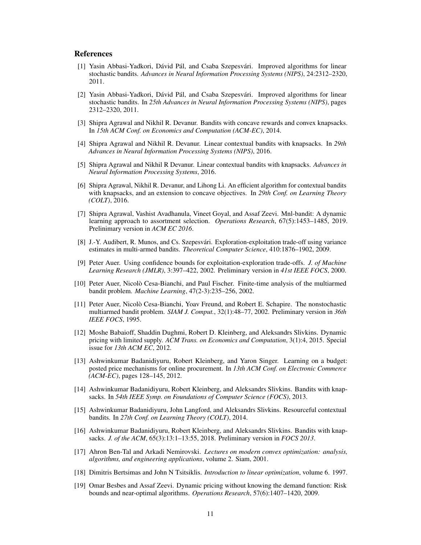#### References

- [1] Yasin Abbasi-Yadkori, Dávid Pál, and Csaba Szepesvári. Improved algorithms for linear stochastic bandits. *Advances in Neural Information Processing Systems (NIPS)*, 24:2312–2320, 2011.
- [2] Yasin Abbasi-Yadkori, Dávid Pál, and Csaba Szepesvári. Improved algorithms for linear stochastic bandits. In *25th Advances in Neural Information Processing Systems (NIPS)*, pages 2312–2320, 2011.
- <span id="page-10-0"></span>[3] Shipra Agrawal and Nikhil R. Devanur. Bandits with concave rewards and convex knapsacks. In *15th ACM Conf. on Economics and Computation (ACM-EC)*, 2014.
- <span id="page-10-8"></span>[4] Shipra Agrawal and Nikhil R. Devanur. Linear contextual bandits with knapsacks. In *29th Advances in Neural Information Processing Systems (NIPS)*, 2016.
- [5] Shipra Agrawal and Nikhil R Devanur. Linear contextual bandits with knapsacks. *Advances in Neural Information Processing Systems*, 2016.
- <span id="page-10-7"></span>[6] Shipra Agrawal, Nikhil R. Devanur, and Lihong Li. An efficient algorithm for contextual bandits with knapsacks, and an extension to concave objectives. In *29th Conf. on Learning Theory (COLT)*, 2016.
- [7] Shipra Agrawal, Vashist Avadhanula, Vineet Goyal, and Assaf Zeevi. Mnl-bandit: A dynamic learning approach to assortment selection. *Operations Research*, 67(5):1453–1485, 2019. Prelinimary version in *ACM EC 2016*.
- <span id="page-10-5"></span>[8] J.-Y. Audibert, R. Munos, and Cs. Szepesvári. Exploration-exploitation trade-off using variance estimates in multi-armed bandits. *Theoretical Computer Science*, 410:1876–1902, 2009.
- [9] Peter Auer. Using confidence bounds for exploitation-exploration trade-offs. *J. of Machine Learning Research (JMLR)*, 3:397–422, 2002. Preliminary version in *41st IEEE FOCS*, 2000.
- <span id="page-10-3"></span>[10] Peter Auer, Nicolò Cesa-Bianchi, and Paul Fischer. Finite-time analysis of the multiarmed bandit problem. *Machine Learning*, 47(2-3):235–256, 2002.
- <span id="page-10-4"></span>[11] Peter Auer, Nicolò Cesa-Bianchi, Yoav Freund, and Robert E. Schapire. The nonstochastic multiarmed bandit problem. *SIAM J. Comput.*, 32(1):48–77, 2002. Preliminary version in *36th IEEE FOCS*, 1995.
- <span id="page-10-10"></span>[12] Moshe Babaioff, Shaddin Dughmi, Robert D. Kleinberg, and Aleksandrs Slivkins. Dynamic pricing with limited supply. *ACM Trans. on Economics and Computation*, 3(1):4, 2015. Special issue for *13th ACM EC*, 2012.
- <span id="page-10-11"></span>[13] Ashwinkumar Badanidiyuru, Robert Kleinberg, and Yaron Singer. Learning on a budget: posted price mechanisms for online procurement. In *13th ACM Conf. on Electronic Commerce (ACM-EC)*, pages 128–145, 2012.
- <span id="page-10-1"></span>[14] Ashwinkumar Badanidiyuru, Robert Kleinberg, and Aleksandrs Slivkins. Bandits with knapsacks. In *54th IEEE Symp. on Foundations of Computer Science (FOCS)*, 2013.
- <span id="page-10-6"></span>[15] Ashwinkumar Badanidiyuru, John Langford, and Aleksandrs Slivkins. Resourceful contextual bandits. In *27th Conf. on Learning Theory (COLT)*, 2014.
- <span id="page-10-2"></span>[16] Ashwinkumar Badanidiyuru, Robert Kleinberg, and Aleksandrs Slivkins. Bandits with knapsacks. *J. of the ACM*, 65(3):13:1–13:55, 2018. Preliminary version in *FOCS 2013*.
- [17] Ahron Ben-Tal and Arkadi Nemirovski. *Lectures on modern convex optimization: analysis, algorithms, and engineering applications*, volume 2. Siam, 2001.
- [18] Dimitris Bertsimas and John N Tsitsiklis. *Introduction to linear optimization*, volume 6. 1997.
- <span id="page-10-9"></span>[19] Omar Besbes and Assaf Zeevi. Dynamic pricing without knowing the demand function: Risk bounds and near-optimal algorithms. *Operations Research*, 57(6):1407–1420, 2009.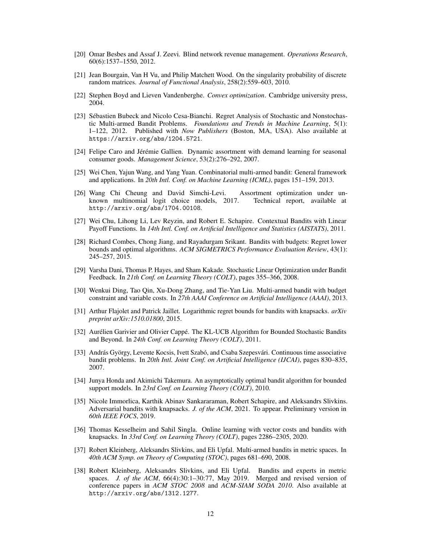- <span id="page-11-3"></span>[20] Omar Besbes and Assaf J. Zeevi. Blind network revenue management. *Operations Research*, 60(6):1537–1550, 2012.
- [21] Jean Bourgain, Van H Vu, and Philip Matchett Wood. On the singularity probability of discrete random matrices. *Journal of Functional Analysis*, 258(2):559–603, 2010.
- [22] Stephen Boyd and Lieven Vandenberghe. *Convex optimization*. Cambridge university press, 2004.
- <span id="page-11-0"></span>[23] Sébastien Bubeck and Nicolo Cesa-Bianchi. Regret Analysis of Stochastic and Nonstochastic Multi-armed Bandit Problems. *Foundations and Trends in Machine Learning*, 5(1): 1–122, 2012. Published with *Now Publishers* (Boston, MA, USA). Also available at https://arxiv.org/abs/1204.5721.
- [24] Felipe Caro and Jérémie Gallien. Dynamic assortment with demand learning for seasonal consumer goods. *Management Science*, 53(2):276–292, 2007.
- [25] Wei Chen, Yajun Wang, and Yang Yuan. Combinatorial multi-armed bandit: General framework and applications. In *20th Intl. Conf. on Machine Learning (ICML)*, pages 151–159, 2013.
- [26] Wang Chi Cheung and David Simchi-Levi. Assortment optimization under unknown multinomial logit choice models, 2017. Technical report, available at http://arxiv.org/abs/1704.00108.
- [27] Wei Chu, Lihong Li, Lev Reyzin, and Robert E. Schapire. Contextual Bandits with Linear Payoff Functions. In *14th Intl. Conf. on Artificial Intelligence and Statistics (AISTATS)*, 2011.
- <span id="page-11-4"></span>[28] Richard Combes, Chong Jiang, and Rayadurgam Srikant. Bandits with budgets: Regret lower bounds and optimal algorithms. *ACM SIGMETRICS Performance Evaluation Review*, 43(1): 245–257, 2015.
- [29] Varsha Dani, Thomas P. Hayes, and Sham Kakade. Stochastic Linear Optimization under Bandit Feedback. In *21th Conf. on Learning Theory (COLT)*, pages 355–366, 2008.
- <span id="page-11-9"></span>[30] Wenkui Ding, Tao Qin, Xu-Dong Zhang, and Tie-Yan Liu. Multi-armed bandit with budget constraint and variable costs. In *27th AAAI Conference on Artificial Intelligence (AAAI)*, 2013.
- <span id="page-11-7"></span>[31] Arthur Flajolet and Patrick Jaillet. Logarithmic regret bounds for bandits with knapsacks. *arXiv preprint arXiv:1510.01800*, 2015.
- <span id="page-11-2"></span>[32] Aurélien Garivier and Olivier Cappé. The KL-UCB Algorithm for Bounded Stochastic Bandits and Beyond. In *24th Conf. on Learning Theory (COLT)*, 2011.
- <span id="page-11-8"></span>[33] András György, Levente Kocsis, Ivett Szabó, and Csaba Szepesvári. Continuous time associative bandit problems. In *20th Intl. Joint Conf. on Artificial Intelligence (IJCAI)*, pages 830–835, 2007.
- <span id="page-11-1"></span>[34] Junya Honda and Akimichi Takemura. An asymptotically optimal bandit algorithm for bounded support models. In *23rd Conf. on Learning Theory (COLT)*, 2010.
- <span id="page-11-5"></span>[35] Nicole Immorlica, Karthik Abinav Sankararaman, Robert Schapire, and Aleksandrs Slivkins. Adversarial bandits with knapsacks. *J. of the ACM*, 2021. To appear. Preliminary version in *60th IEEE FOCS*, 2019.
- <span id="page-11-6"></span>[36] Thomas Kesselheim and Sahil Singla. Online learning with vector costs and bandits with knapsacks. In *33rd Conf. on Learning Theory (COLT)*, pages 2286–2305, 2020.
- [37] Robert Kleinberg, Aleksandrs Slivkins, and Eli Upfal. Multi-armed bandits in metric spaces. In *40th ACM Symp. on Theory of Computing (STOC)*, pages 681–690, 2008.
- [38] Robert Kleinberg, Aleksandrs Slivkins, and Eli Upfal. Bandits and experts in metric spaces. *J. of the ACM*, 66(4):30:1–30:77, May 2019. Merged and revised version of conference papers in *ACM STOC 2008* and *ACM-SIAM SODA 2010*. Also available at http://arxiv.org/abs/1312.1277.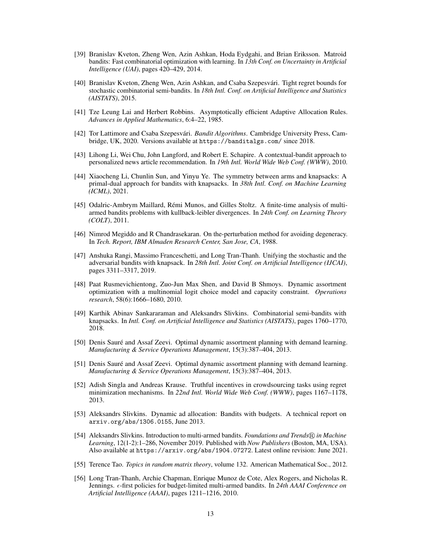- [39] Branislav Kveton, Zheng Wen, Azin Ashkan, Hoda Eydgahi, and Brian Eriksson. Matroid bandits: Fast combinatorial optimization with learning. In *13th Conf. on Uncertainty in Artificial Intelligence (UAI)*, pages 420–429, 2014.
- [40] Branislav Kveton, Zheng Wen, Azin Ashkan, and Csaba Szepesvári. Tight regret bounds for stochastic combinatorial semi-bandits. In *18th Intl. Conf. on Artificial Intelligence and Statistics (AISTATS)*, 2015.
- <span id="page-12-2"></span>[41] Tze Leung Lai and Herbert Robbins. Asymptotically efficient Adaptive Allocation Rules. *Advances in Applied Mathematics*, 6:4–22, 1985.
- <span id="page-12-1"></span>[42] Tor Lattimore and Csaba Szepesvári. *Bandit Algorithms*. Cambridge University Press, Cambridge, UK, 2020. Versions available at https://banditalgs.com/ since 2018.
- [43] Lihong Li, Wei Chu, John Langford, and Robert E. Schapire. A contextual-bandit approach to personalized news article recommendation. In *19th Intl. World Wide Web Conf. (WWW)*, 2010.
- <span id="page-12-7"></span>[44] Xiaocheng Li, Chunlin Sun, and Yinyu Ye. The symmetry between arms and knapsacks: A primal-dual approach for bandits with knapsacks. In *38th Intl. Conf. on Machine Learning (ICML)*, 2021.
- <span id="page-12-3"></span>[45] Odalric-Ambrym Maillard, Rémi Munos, and Gilles Stoltz. A finite-time analysis of multiarmed bandits problems with kullback-leibler divergences. In *24th Conf. on Learning Theory (COLT)*, 2011.
- [46] Nimrod Megiddo and R Chandrasekaran. On the-perturbation method for avoiding degeneracy. In *Tech. Report, IBM Almaden Research Center, San Jose, CA*, 1988.
- <span id="page-12-9"></span>[47] Anshuka Rangi, Massimo Franceschetti, and Long Tran-Thanh. Unifying the stochastic and the adversarial bandits with knapsack. In *28th Intl. Joint Conf. on Artificial Intelligence (IJCAI)*, pages 3311–3317, 2019.
- [48] Paat Rusmevichientong, Zuo-Jun Max Shen, and David B Shmoys. Dynamic assortment optimization with a multinomial logit choice model and capacity constraint. *Operations research*, 58(6):1666–1680, 2010.
- <span id="page-12-4"></span>[49] Karthik Abinav Sankararaman and Aleksandrs Slivkins. Combinatorial semi-bandits with knapsacks. In *Intl. Conf. on Artificial Intelligence and Statistics (AISTATS)*, pages 1760–1770, 2018.
- [50] Denis Sauré and Assaf Zeevi. Optimal dynamic assortment planning with demand learning. *Manufacturing & Service Operations Management*, 15(3):387–404, 2013.
- [51] Denis Sauré and Assaf Zeevi. Optimal dynamic assortment planning with demand learning. *Manufacturing & Service Operations Management*, 15(3):387–404, 2013.
- <span id="page-12-5"></span>[52] Adish Singla and Andreas Krause. Truthful incentives in crowdsourcing tasks using regret minimization mechanisms. In *22nd Intl. World Wide Web Conf. (WWW)*, pages 1167–1178, 2013.
- <span id="page-12-6"></span>[53] Aleksandrs Slivkins. Dynamic ad allocation: Bandits with budgets. A technical report on arxiv.org/abs/1306.0155, June 2013.
- <span id="page-12-0"></span>[54] Aleksandrs Slivkins. Introduction to multi-armed bandits. *Foundations and Trends ® in Machine Learning*, 12(1-2):1–286, November 2019. Published with *Now Publishers* (Boston, MA, USA). Also available at https://arxiv.org/abs/1904.07272. Latest online revision: June 2021.
- [55] Terence Tao. *Topics in random matrix theory*, volume 132. American Mathematical Soc., 2012.
- <span id="page-12-8"></span>[56] Long Tran-Thanh, Archie Chapman, Enrique Munoz de Cote, Alex Rogers, and Nicholas R. Jennings.  $\epsilon$ -first policies for budget-limited multi-armed bandits. In 24th AAAI Conference on *Artificial Intelligence (AAAI)*, pages 1211–1216, 2010.